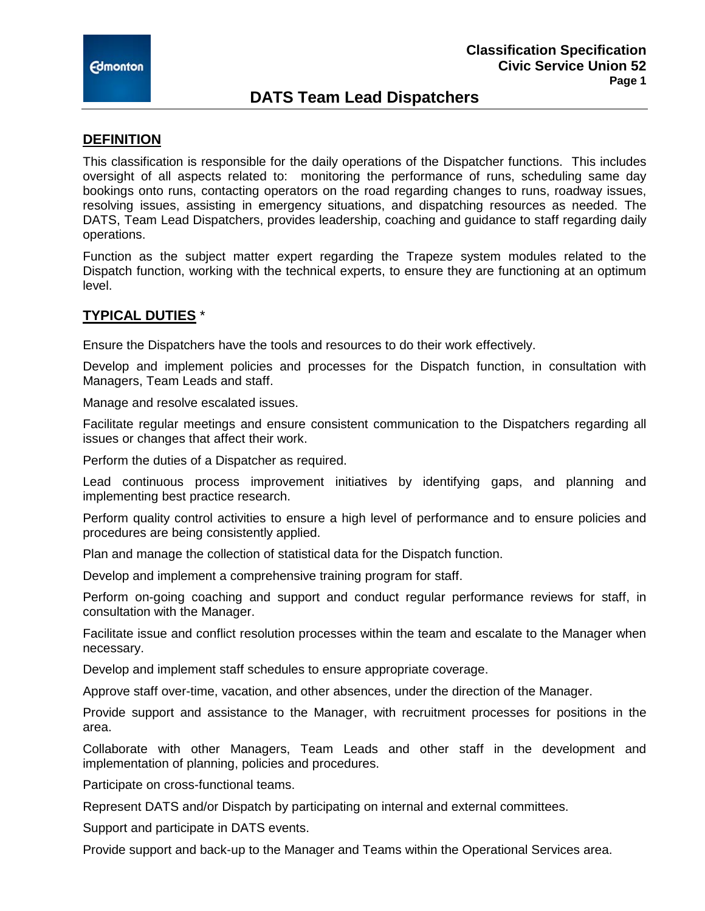

# **DATS Team Lead Dispatchers**

### **DEFINITION**

This classification is responsible for the daily operations of the Dispatcher functions. This includes oversight of all aspects related to: monitoring the performance of runs, scheduling same day bookings onto runs, contacting operators on the road regarding changes to runs, roadway issues, resolving issues, assisting in emergency situations, and dispatching resources as needed. The DATS, Team Lead Dispatchers, provides leadership, coaching and guidance to staff regarding daily operations.

Function as the subject matter expert regarding the Trapeze system modules related to the Dispatch function, working with the technical experts, to ensure they are functioning at an optimum level.

## **TYPICAL DUTIES** \*

Ensure the Dispatchers have the tools and resources to do their work effectively.

Develop and implement policies and processes for the Dispatch function, in consultation with Managers, Team Leads and staff.

Manage and resolve escalated issues.

Facilitate regular meetings and ensure consistent communication to the Dispatchers regarding all issues or changes that affect their work.

Perform the duties of a Dispatcher as required.

Lead continuous process improvement initiatives by identifying gaps, and planning and implementing best practice research.

Perform quality control activities to ensure a high level of performance and to ensure policies and procedures are being consistently applied.

Plan and manage the collection of statistical data for the Dispatch function.

Develop and implement a comprehensive training program for staff.

Perform on-going coaching and support and conduct regular performance reviews for staff, in consultation with the Manager.

Facilitate issue and conflict resolution processes within the team and escalate to the Manager when necessary.

Develop and implement staff schedules to ensure appropriate coverage.

Approve staff over-time, vacation, and other absences, under the direction of the Manager.

Provide support and assistance to the Manager, with recruitment processes for positions in the area.

Collaborate with other Managers, Team Leads and other staff in the development and implementation of planning, policies and procedures.

Participate on cross-functional teams.

Represent DATS and/or Dispatch by participating on internal and external committees.

Support and participate in DATS events.

Provide support and back-up to the Manager and Teams within the Operational Services area.